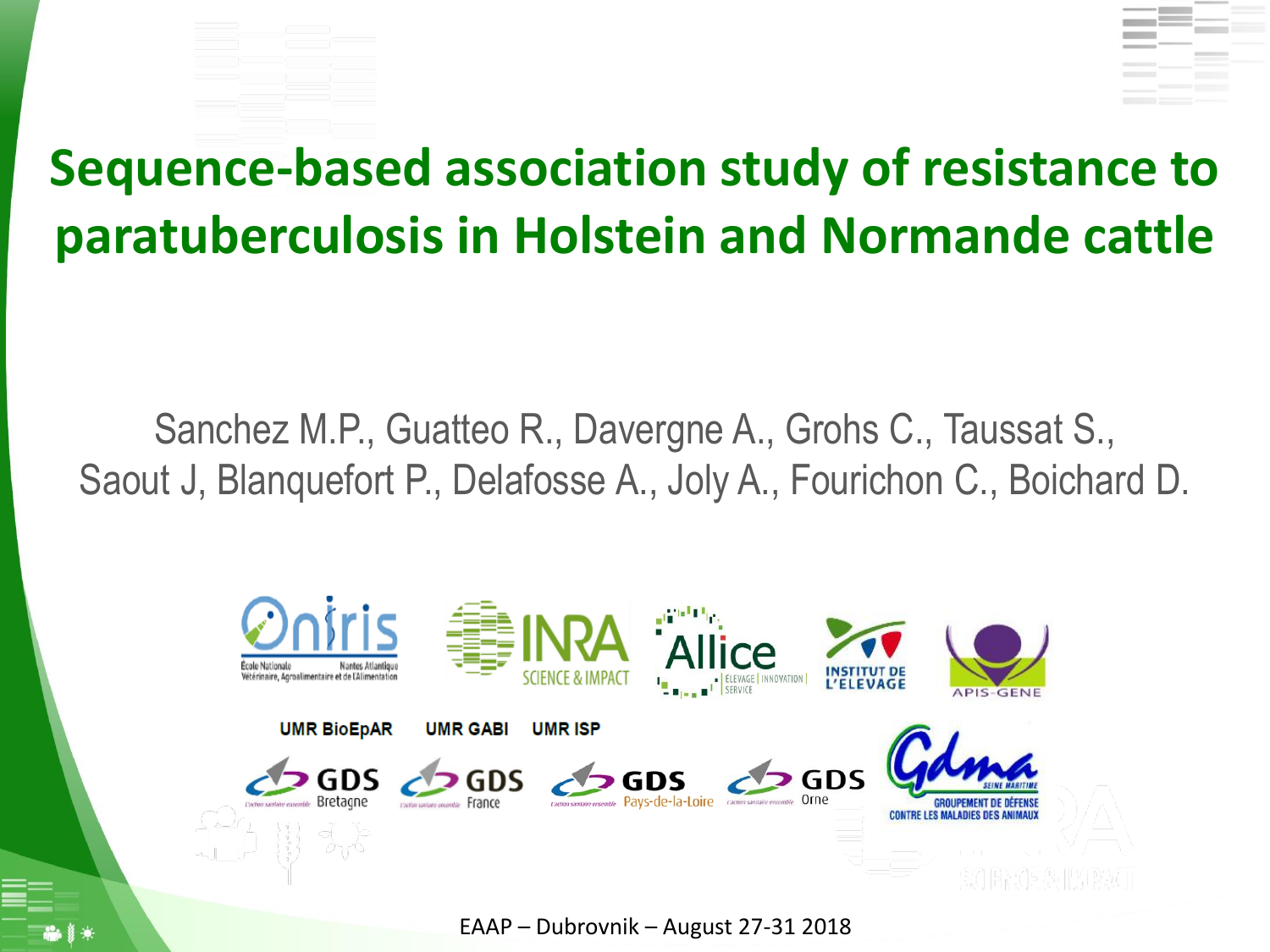

## **Sequence-based association study of resistance to paratuberculosis in Holstein and Normande cattle**

Sanchez M.P., Guatteo R., Davergne A., Grohs C., Taussat S., Saout J, Blanquefort P., Delafosse A., Joly A., Fourichon C., Boichard D.

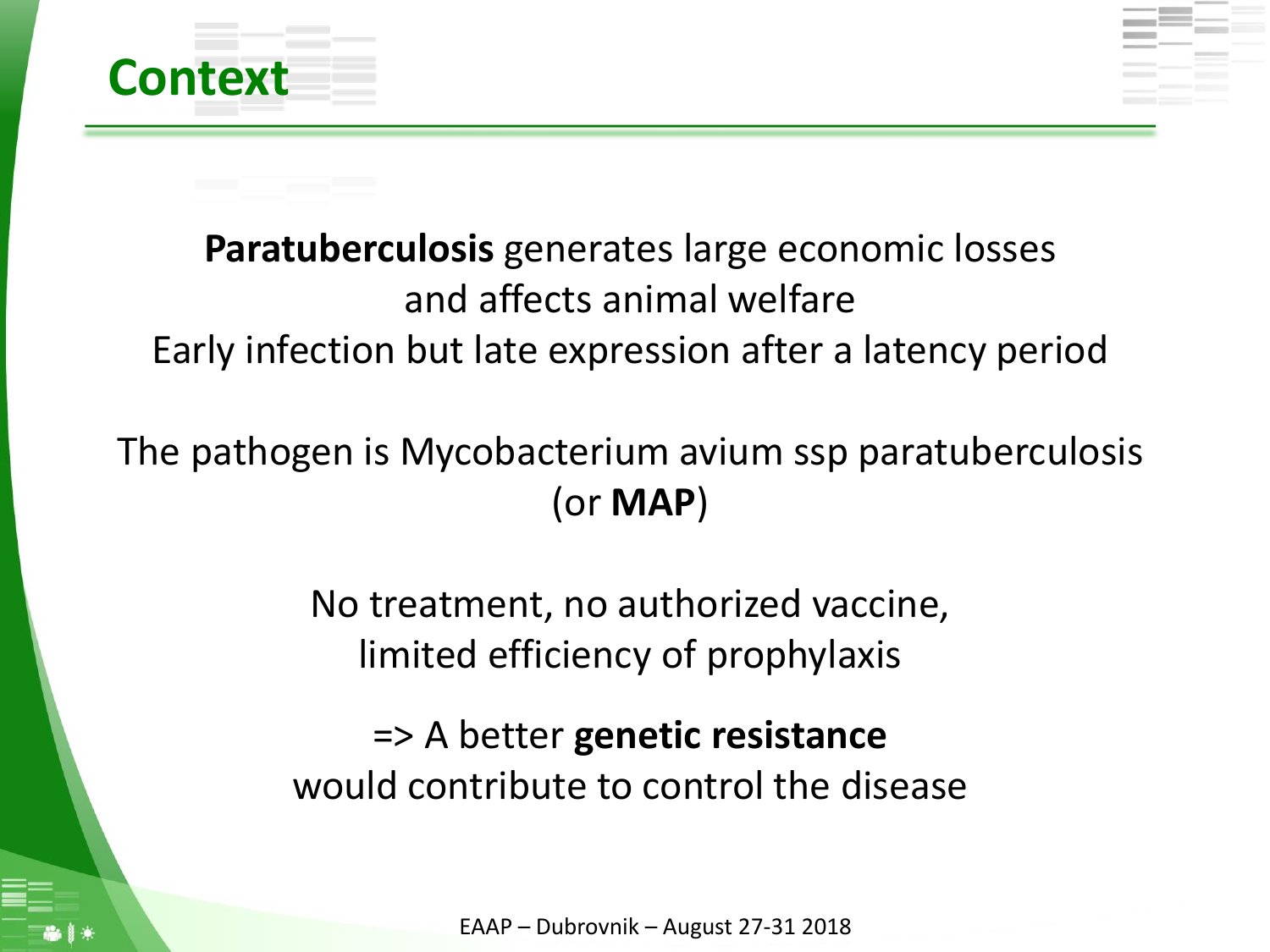

### **Paratuberculosis** generates large economic losses and affects animal welfare Early infection but late expression after a latency period

### The pathogen is Mycobacterium avium ssp paratuberculosis (or **MAP**)

No treatment, no authorized vaccine, limited efficiency of prophylaxis

=> A better **genetic resistance** would contribute to control the disease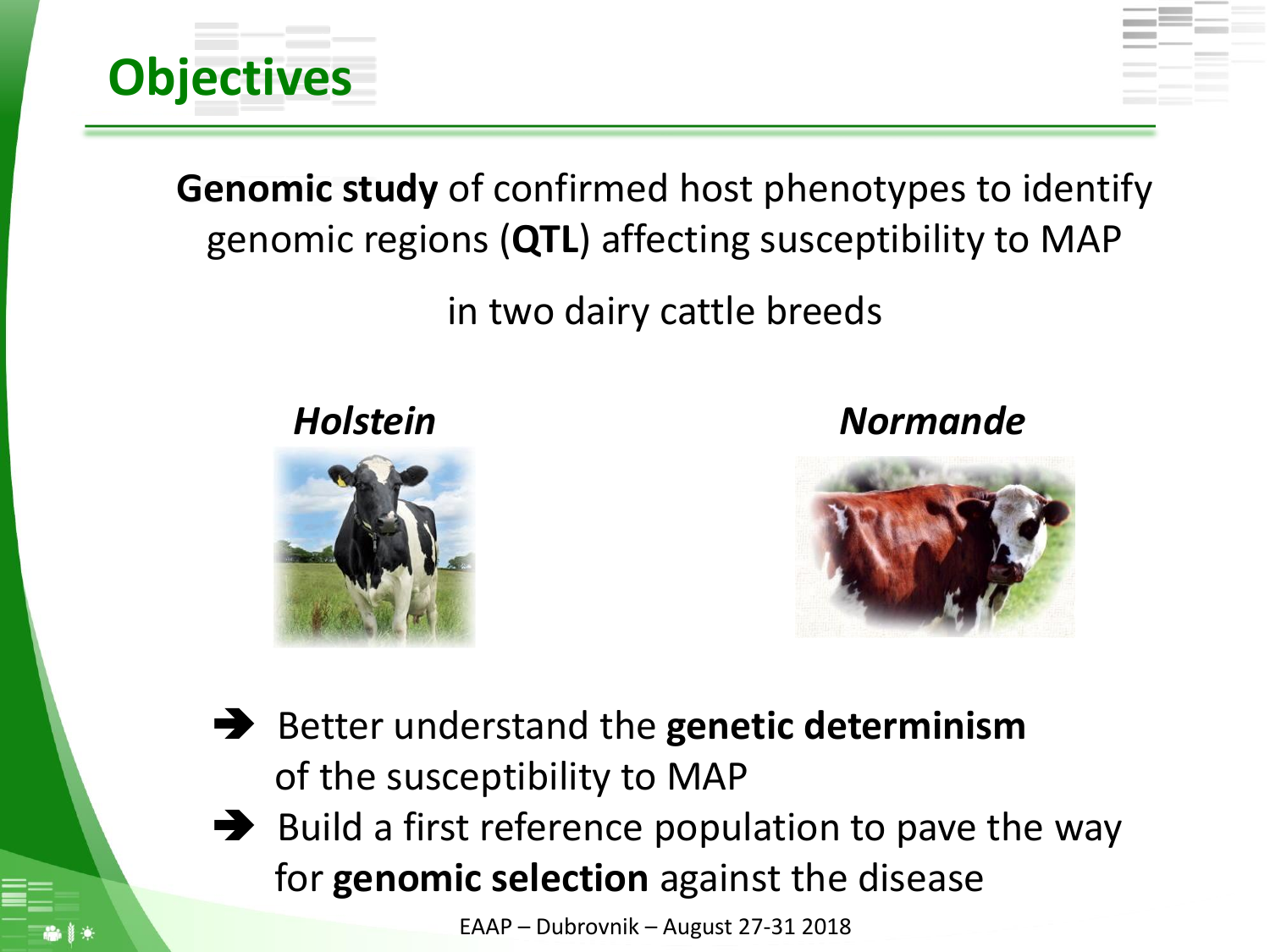

**Genomic study** of confirmed host phenotypes to identify genomic regions (**QTL**) affecting susceptibility to MAP

#### in two dairy cattle breeds



*Holstein Normande*



- Better understand the **genetic determinism** of the susceptibility to MAP
- $\rightarrow$  Build a first reference population to pave the way for **genomic selection** against the disease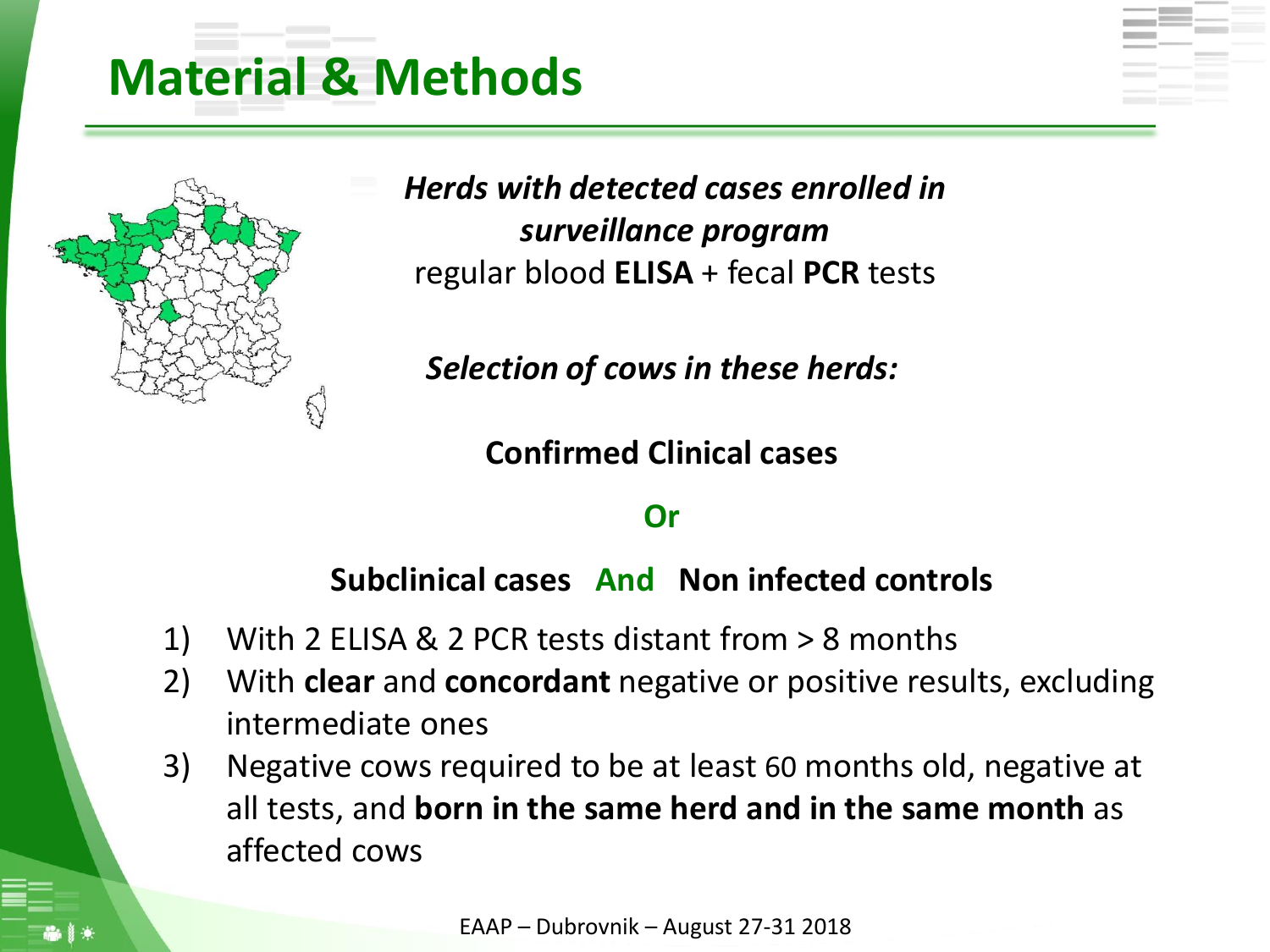### **Material & Methods**



*Herds with detected cases enrolled in surveillance program* regular blood **ELISA** + fecal **PCR** tests

*Selection of cows in these herds:*

**Confirmed Clinical cases** 

#### **Or**

**Subclinical cases And Non infected controls**

- 1) With 2 ELISA & 2 PCR tests distant from > 8 months
- 2) With **clear** and **concordant** negative or positive results, excluding intermediate ones
- 3) Negative cows required to be at least 60 months old, negative at all tests, and **born in the same herd and in the same month** as affected cows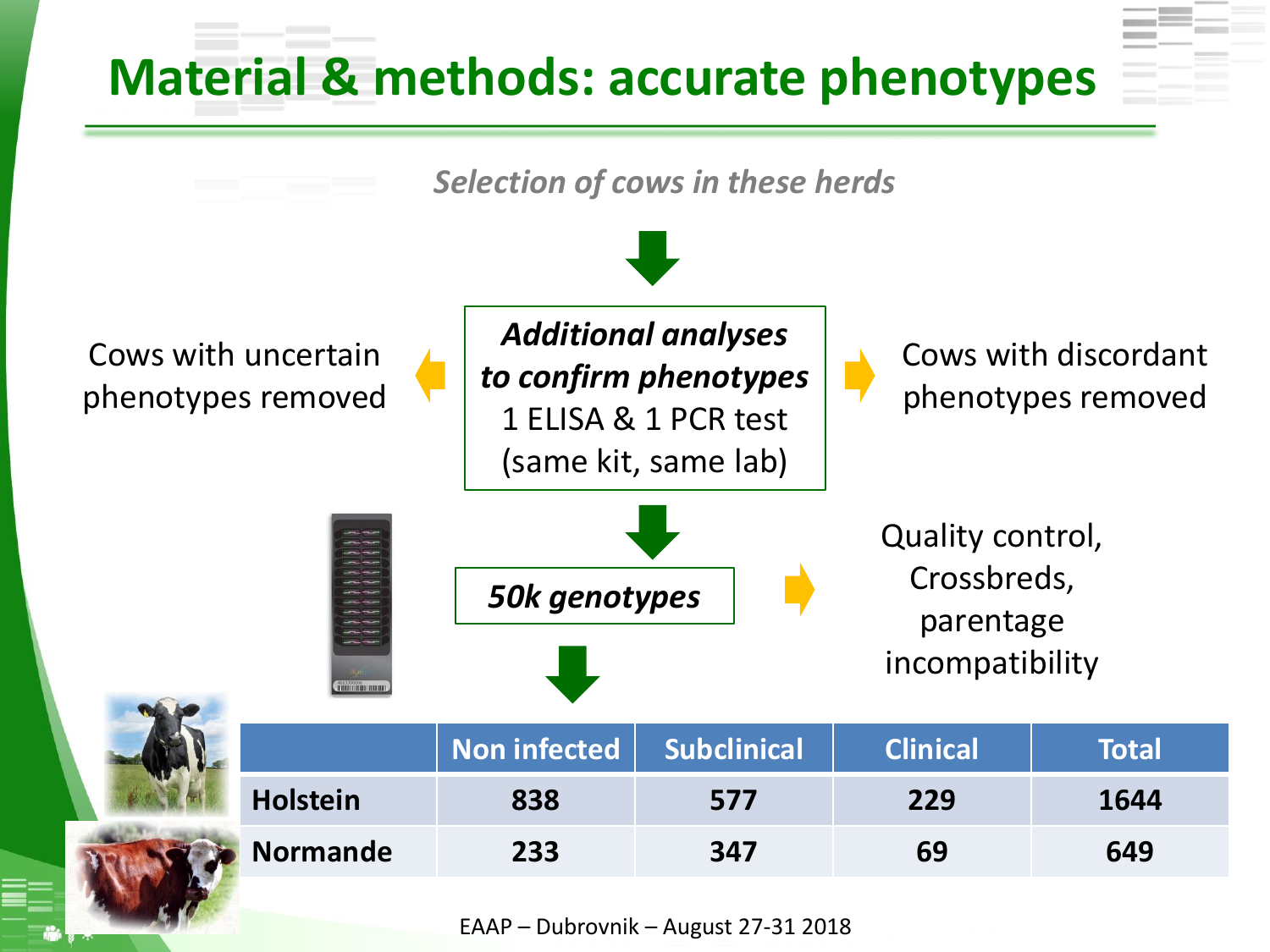### **Material & methods: accurate phenotypes**

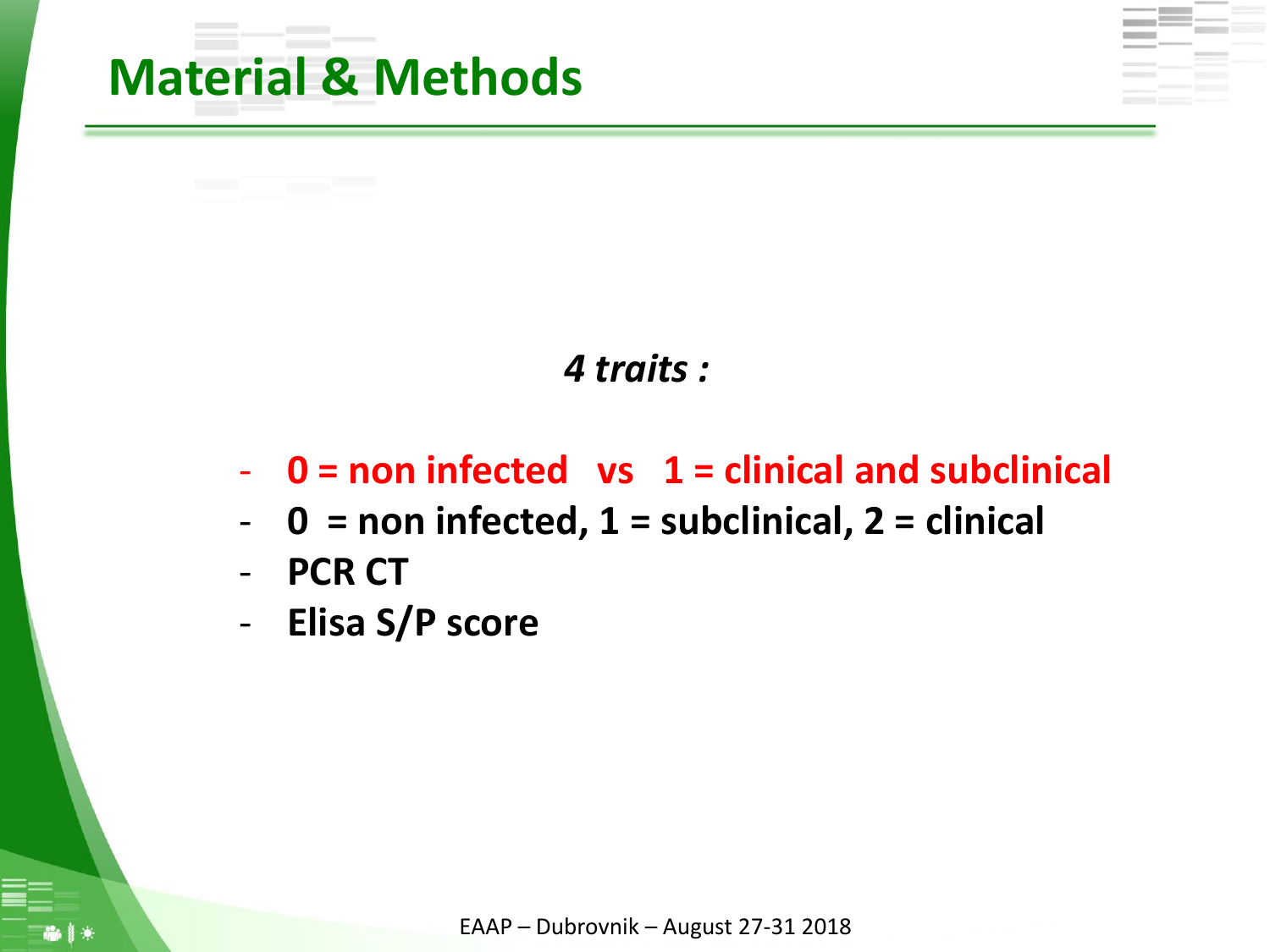

#### *4 traits :*

- **0 = non infected vs 1 = clinical and subclinical**
- **0 = non infected, 1 = subclinical, 2 = clinical**
- **PCR CT**
- **Elisa S/P score**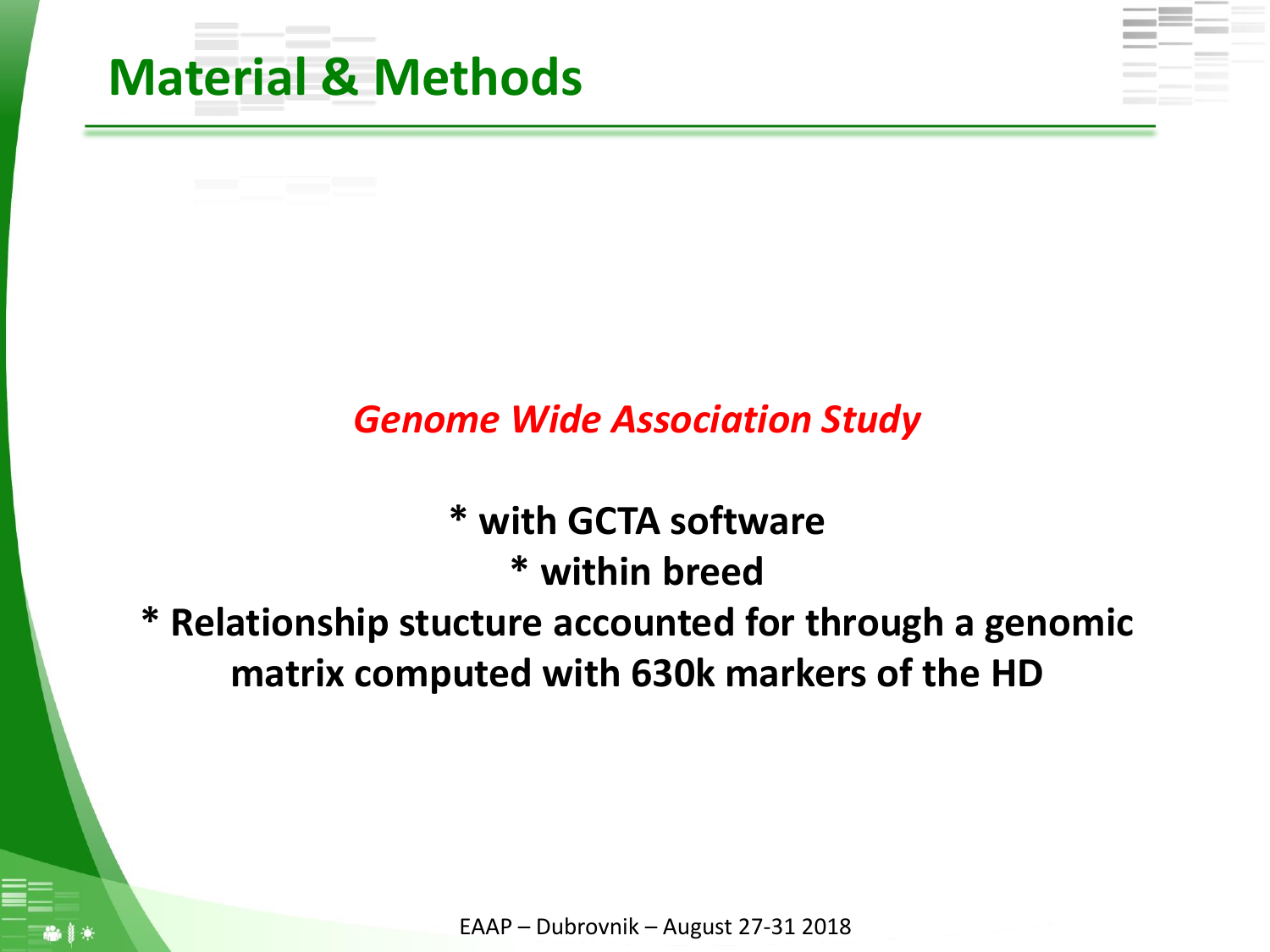

#### *Genome Wide Association Study*

**\* with GCTA software \* within breed \* Relationship stucture accounted for through a genomic matrix computed with 630k markers of the HD**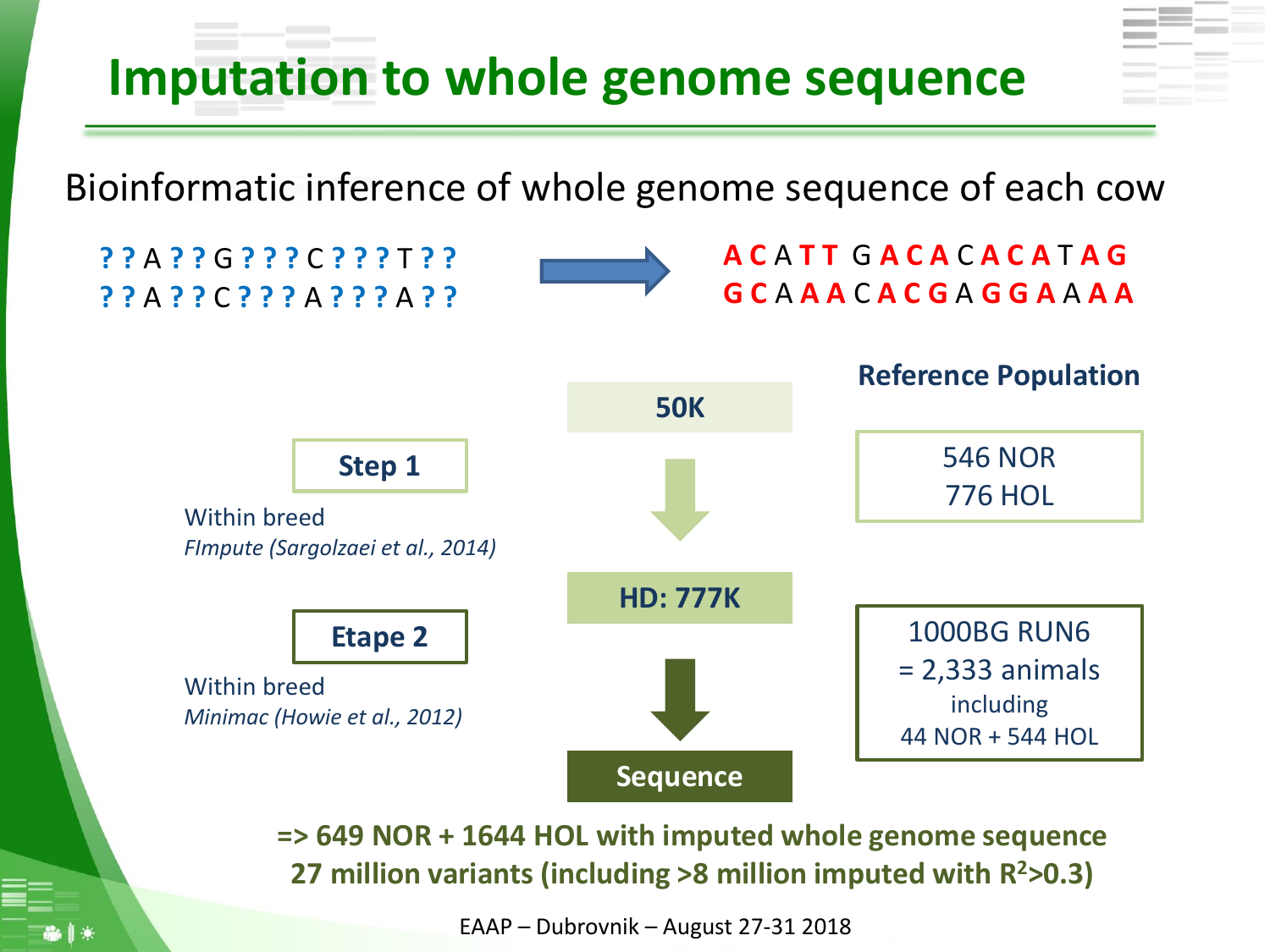## **Imputation to whole genome sequence**

Bioinformatic inference of whole genome sequence of each cow



**=> 649 NOR + 1644 HOL with imputed whole genome sequence 27 million variants (including >8 million imputed with R <sup>2</sup>>0.3)**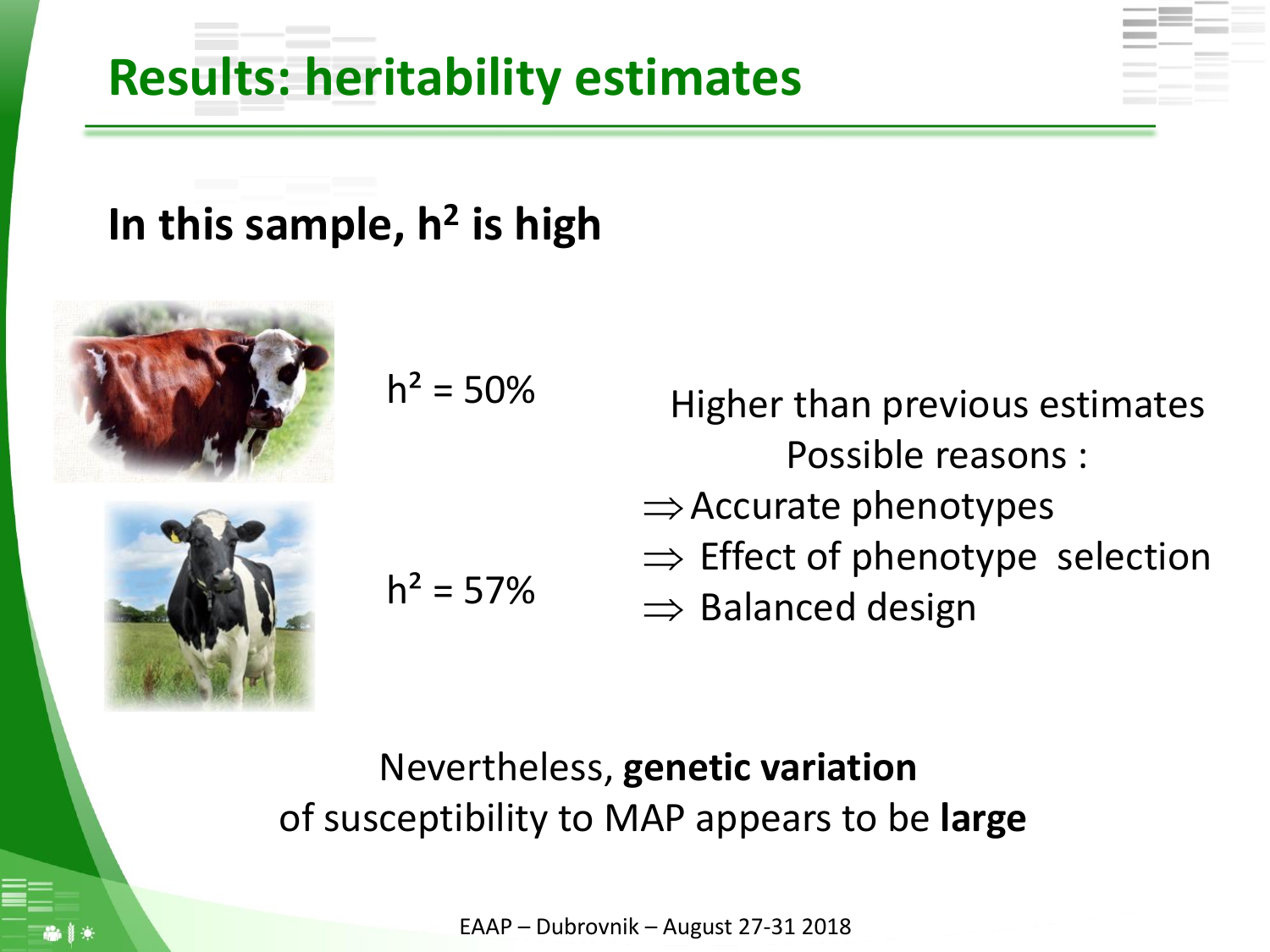## **Results: heritability estimates**

### **In this sample, h<sup>2</sup> is high**



$$
h^2 = 50\%
$$



$$
h^2 = 57\%
$$

Higher than previous estimates Possible reasons :

- $\Rightarrow$  Accurate phenotypes
- $\Rightarrow$  Effect of phenotype selection
- $\Rightarrow$  Balanced design

### Nevertheless, **genetic variation** of susceptibility to MAP appears to be **large**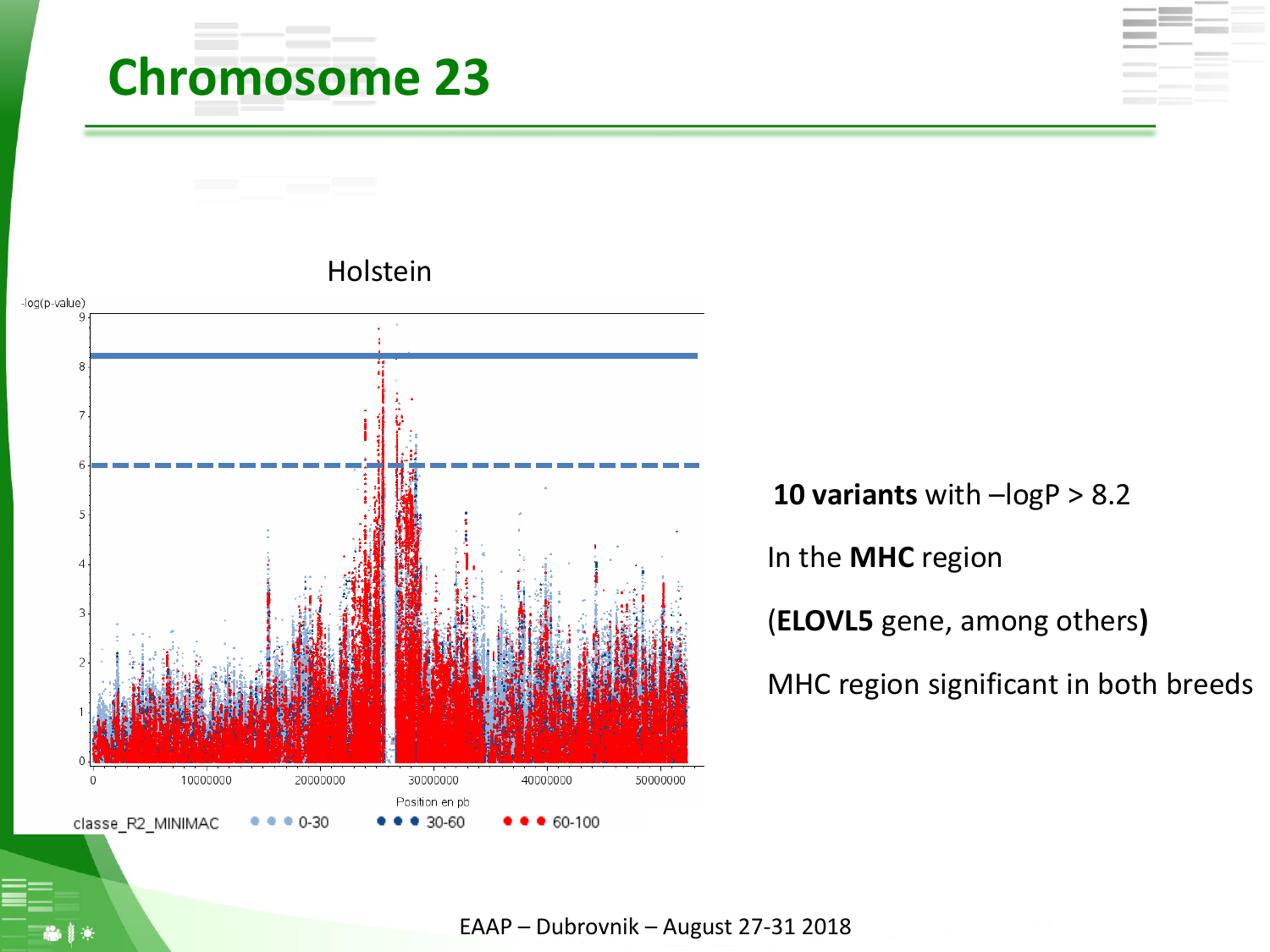# **Chromosome 23**



**10 variants** with –logP > 8.2 In the **MHC** region (**ELOVL5** gene, among others**)** MHC region significant in both breeds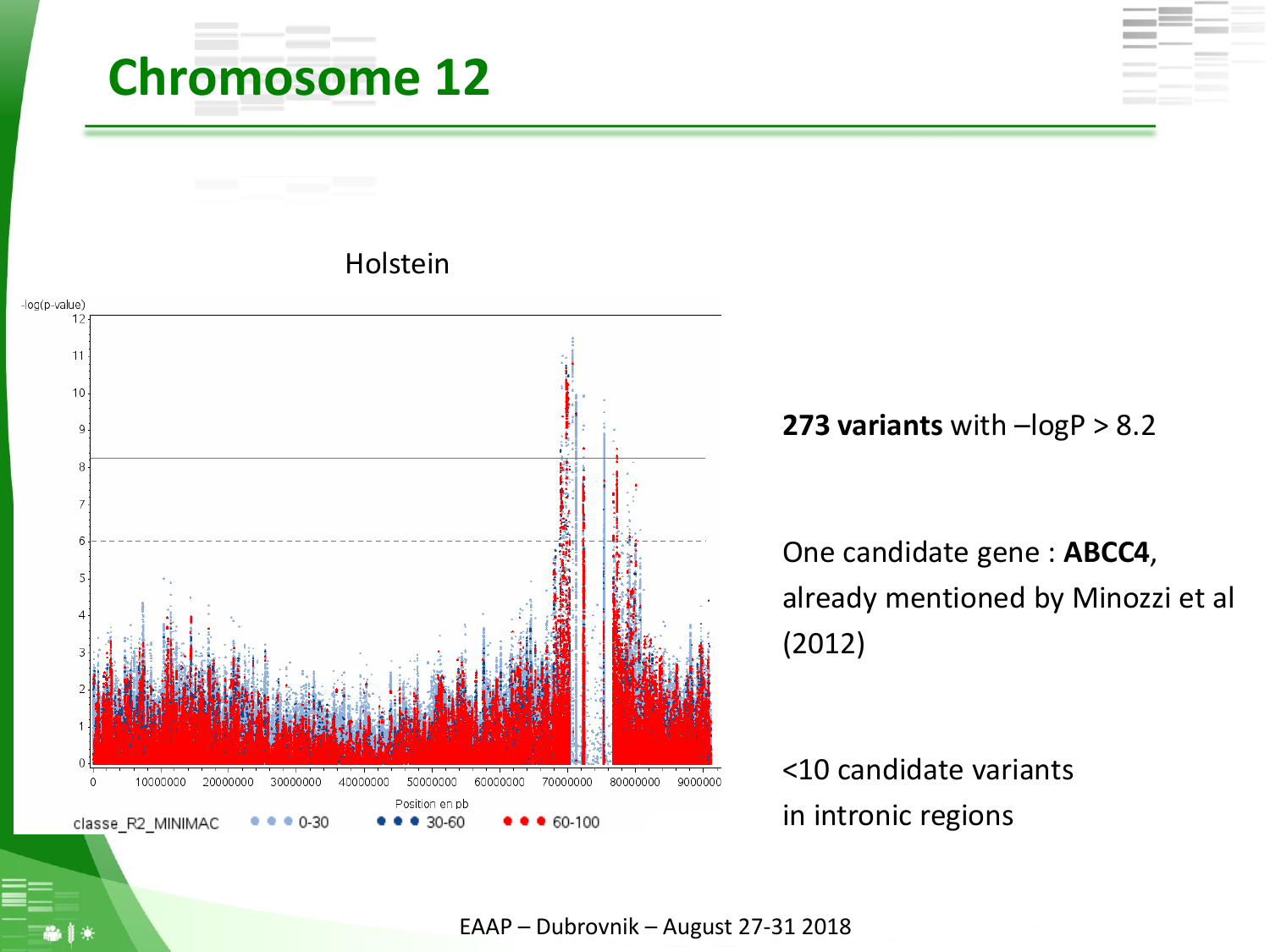## **Chromosome 12**



**273 variants** with –logP > 8.2

One candidate gene : **ABCC4**, already mentioned by Minozzi et al (2012)

<10 candidate variants in intronic regions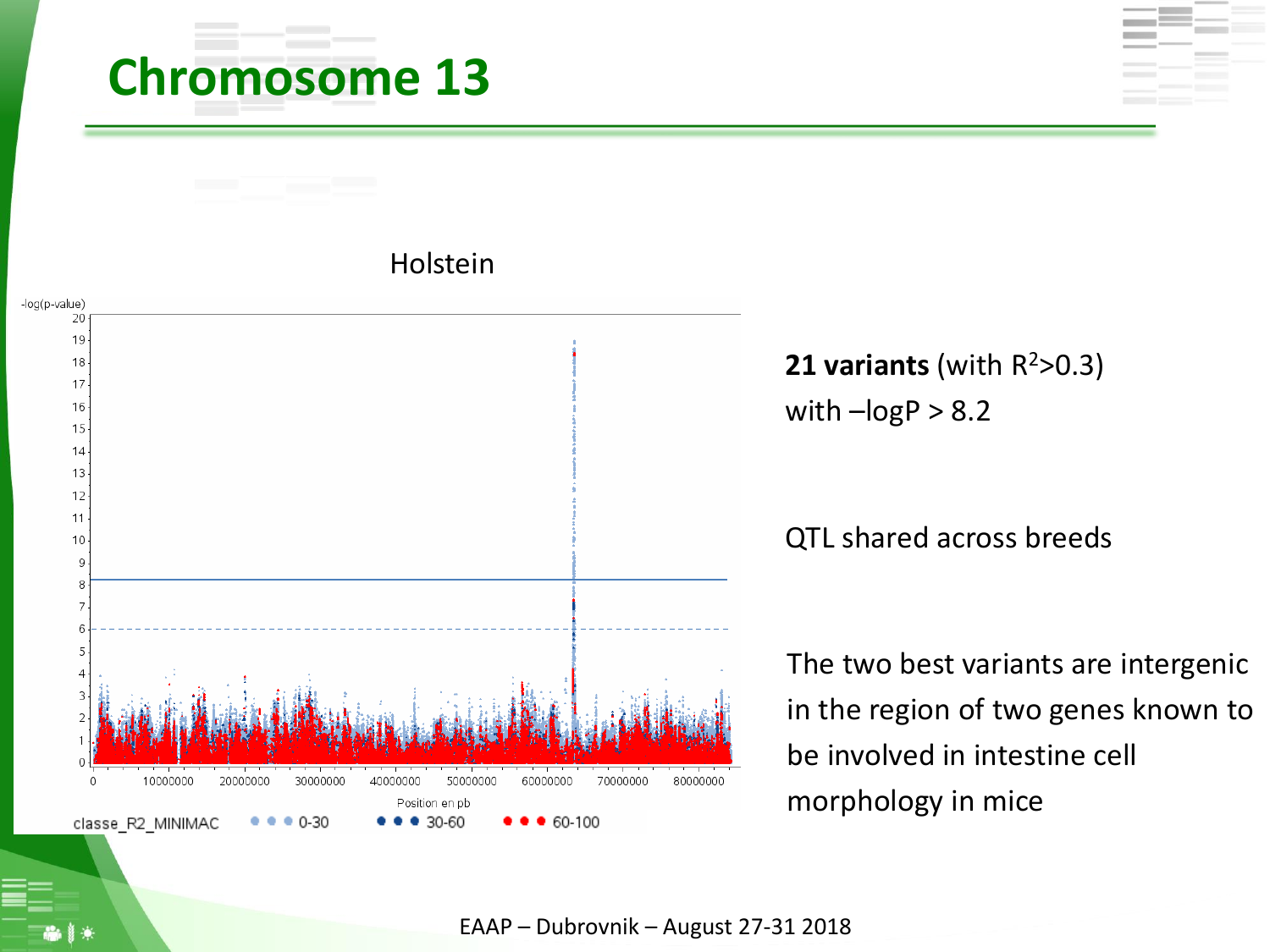## **Chromosome 13**



Holstein

**21 variants** (with R <sup>2</sup>>0.3) with  $-logP > 8.2$ 

QTL shared across breeds

The two best variants are intergenic in the region of two genes known to be involved in intestine cell morphology in mice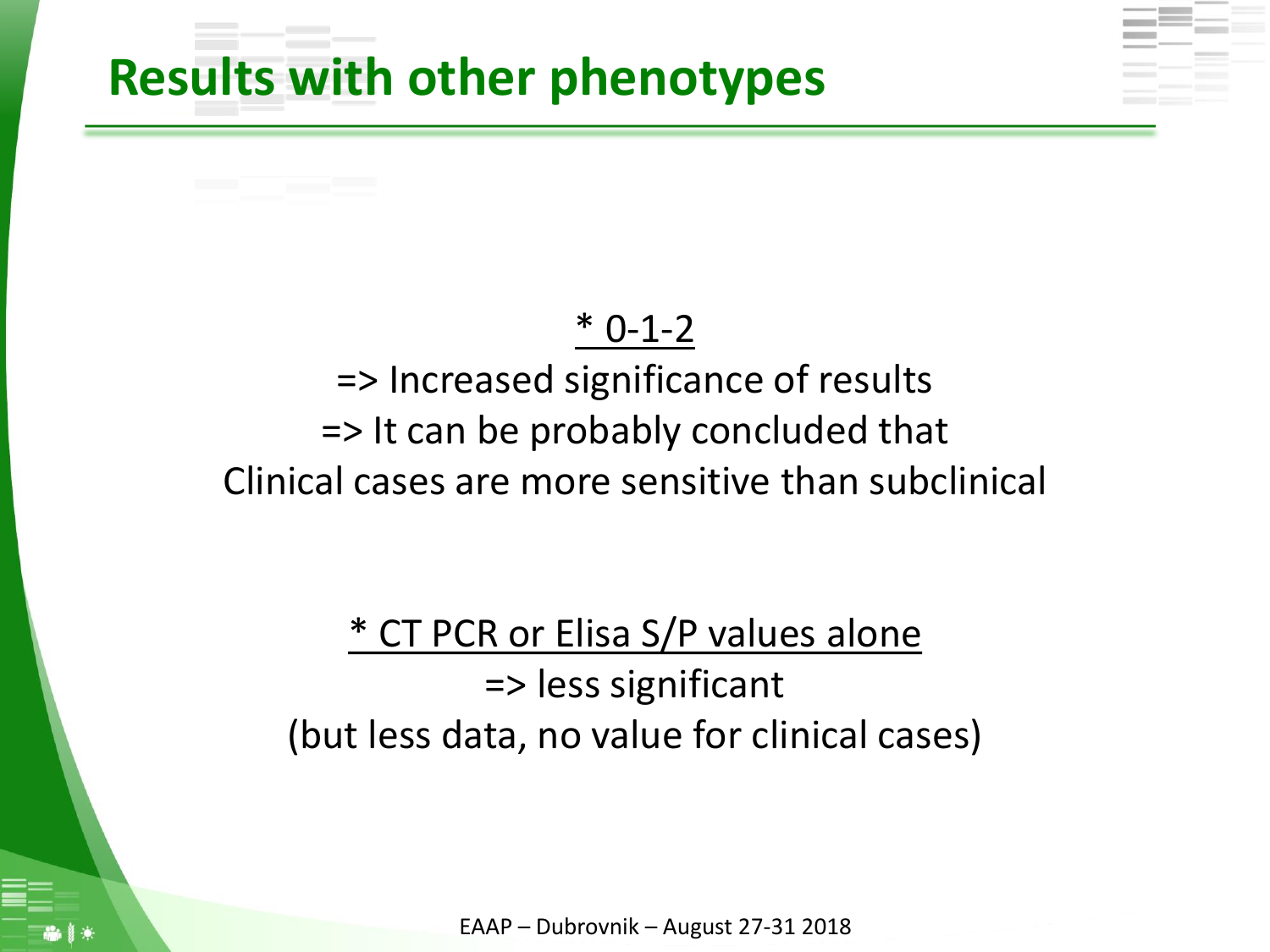### **Results with other phenotypes**

#### \* 0-1-2

### => Increased significance of results => It can be probably concluded that Clinical cases are more sensitive than subclinical

### \* CT PCR or Elisa S/P values alone => less significant (but less data, no value for clinical cases)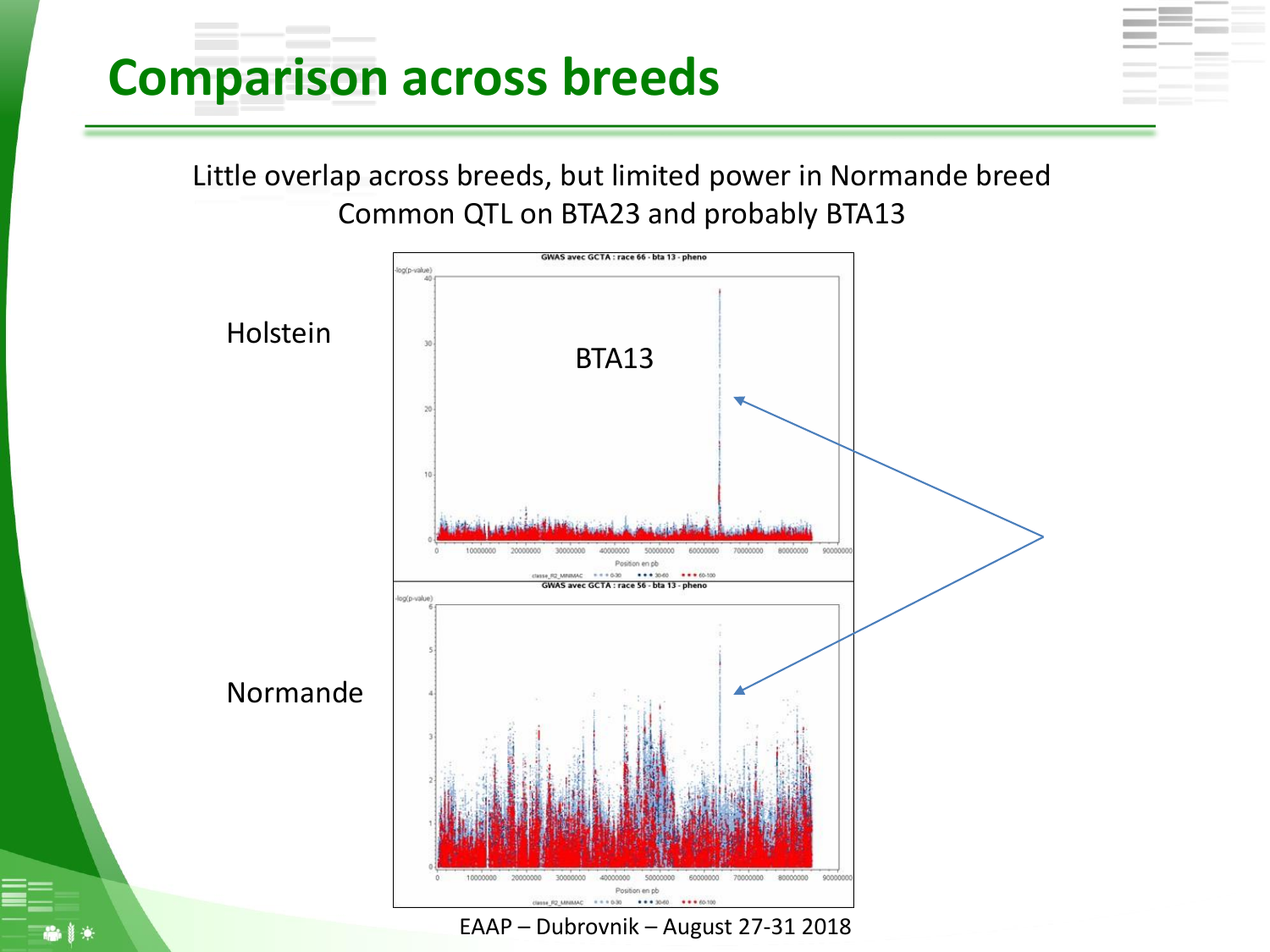## **Comparison across breeds**

Little overlap across breeds, but limited power in Normande breed Common QTL on BTA23 and probably BTA13

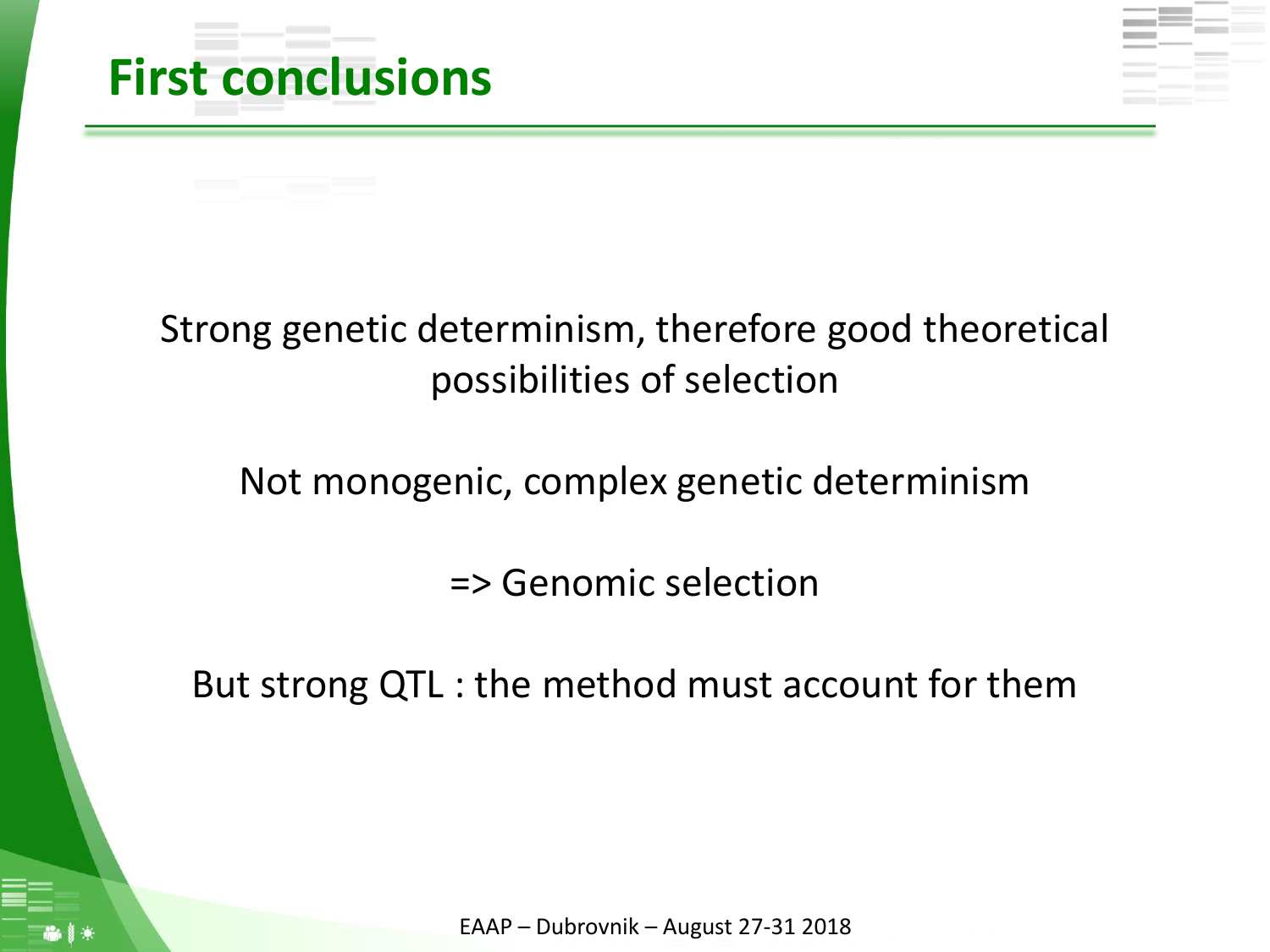

### Strong genetic determinism, therefore good theoretical possibilities of selection

Not monogenic, complex genetic determinism

=> Genomic selection

But strong QTL : the method must account for them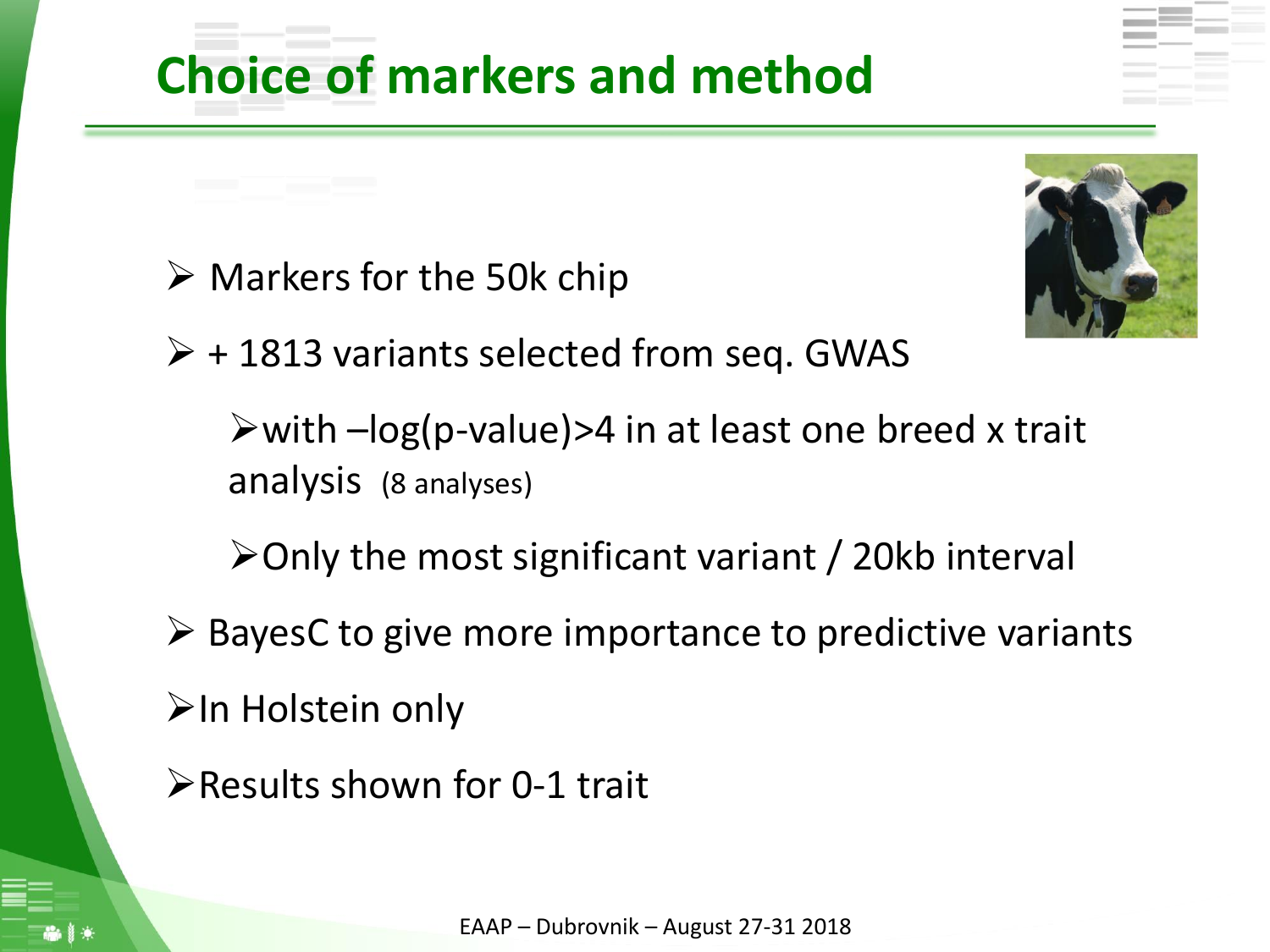## **Choice of markers and method**

 $\triangleright$  Markers for the 50k chip



 $\triangleright$  + 1813 variants selected from seq. GWAS

 $\triangleright$  with  $-\log(p$ -value) > 4 in at least one breed x trait analysis (8 analyses)

➢Only the most significant variant / 20kb interval

 $\triangleright$  BayesC to give more importance to predictive variants

➢In Holstein only

➢Results shown for 0-1 trait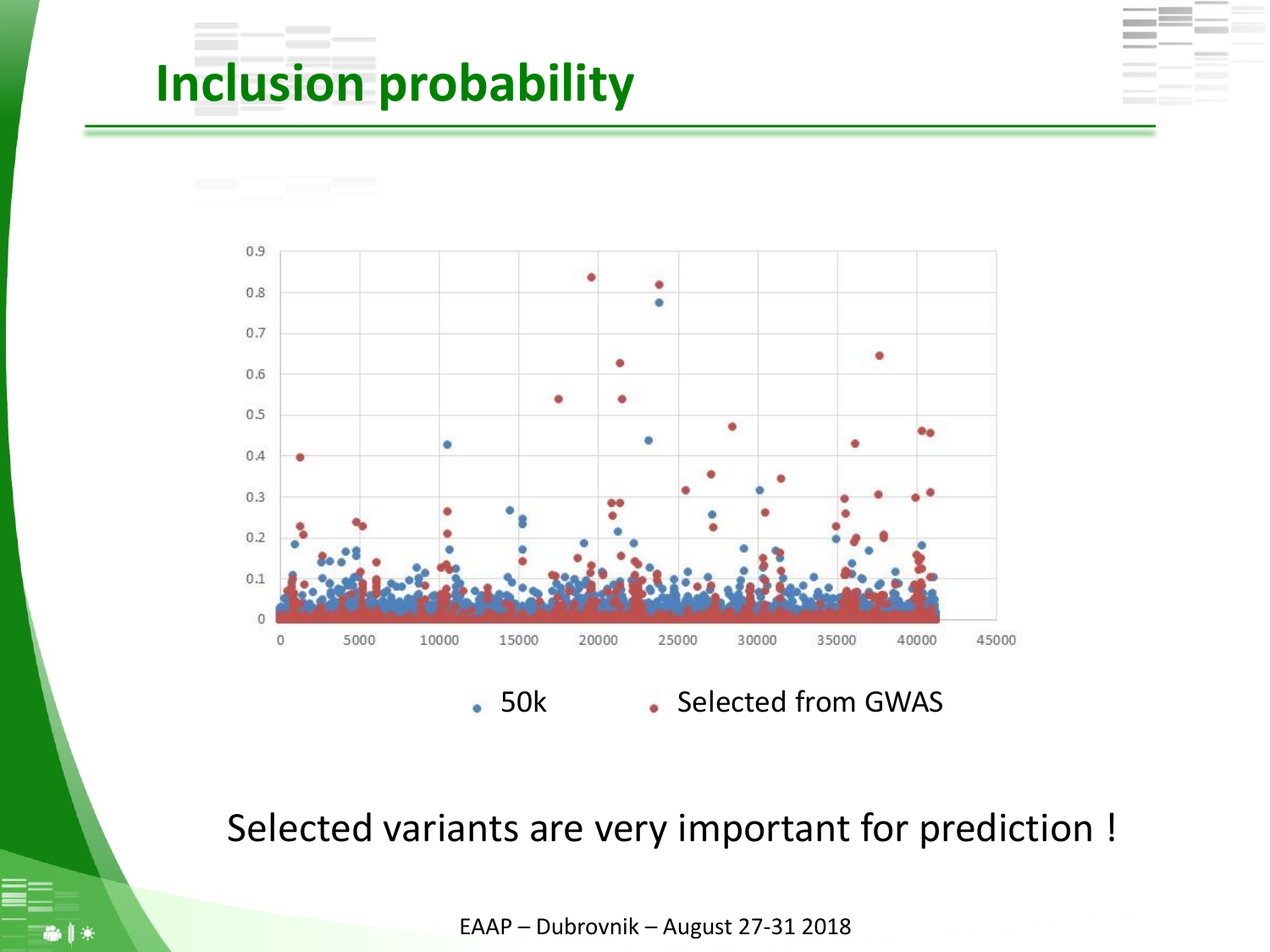## **Inclusion probability**



Selected variants are very important for prediction !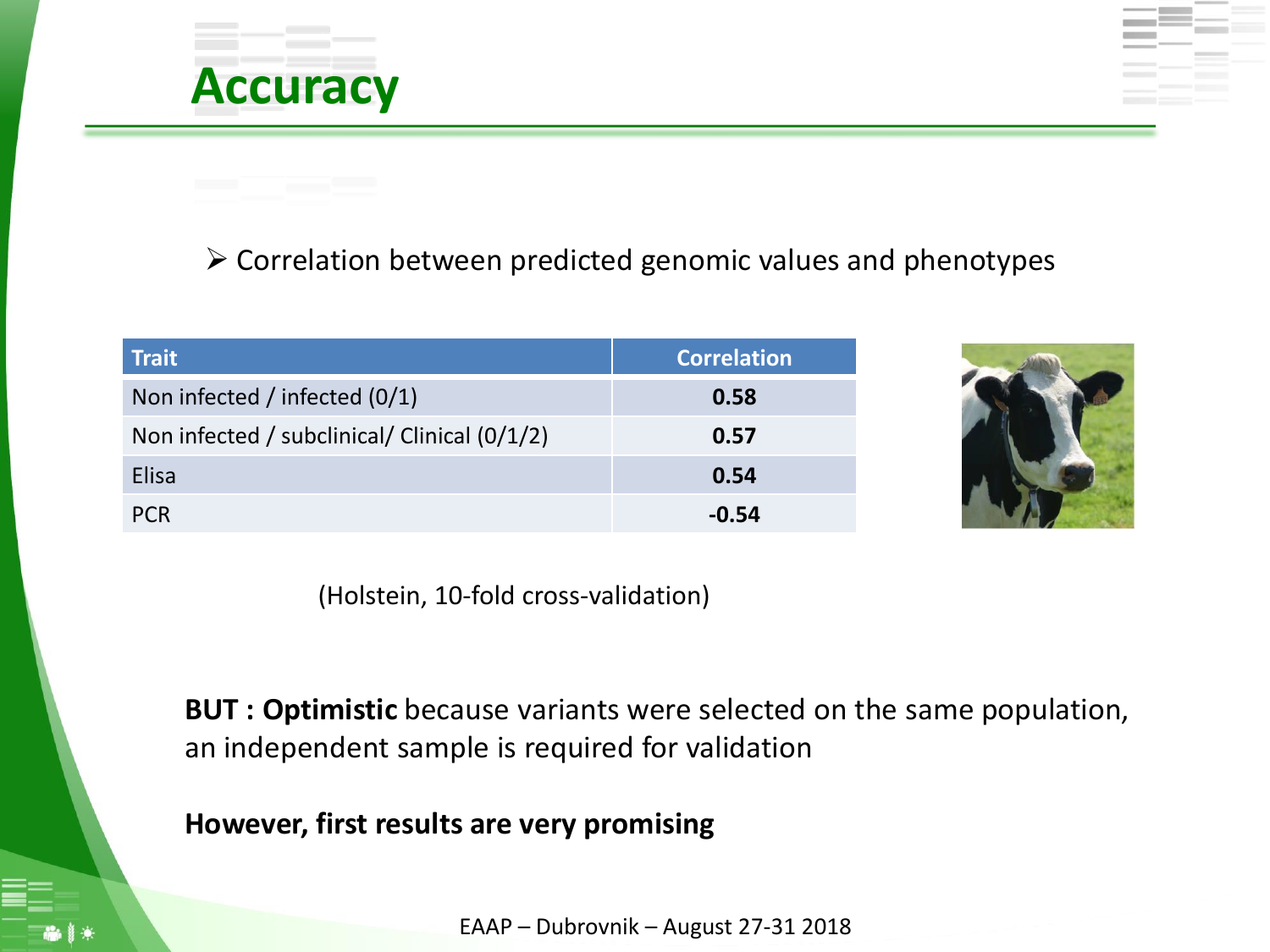#### ➢ Correlation between predicted genomic values and phenotypes

| <b>Trait</b>                                 | <b>Correlation</b> |
|----------------------------------------------|--------------------|
| Non infected / infected (0/1)                | 0.58               |
| Non infected / subclinical/ Clinical (0/1/2) | 0.57               |
| <b>Elisa</b>                                 | 0.54               |
| <b>PCR</b>                                   | $-0.54$            |

**Accuracy**



(Holstein, 10-fold cross-validation)

**BUT : Optimistic** because variants were selected on the same population, an independent sample is required for validation

**However, first results are very promising**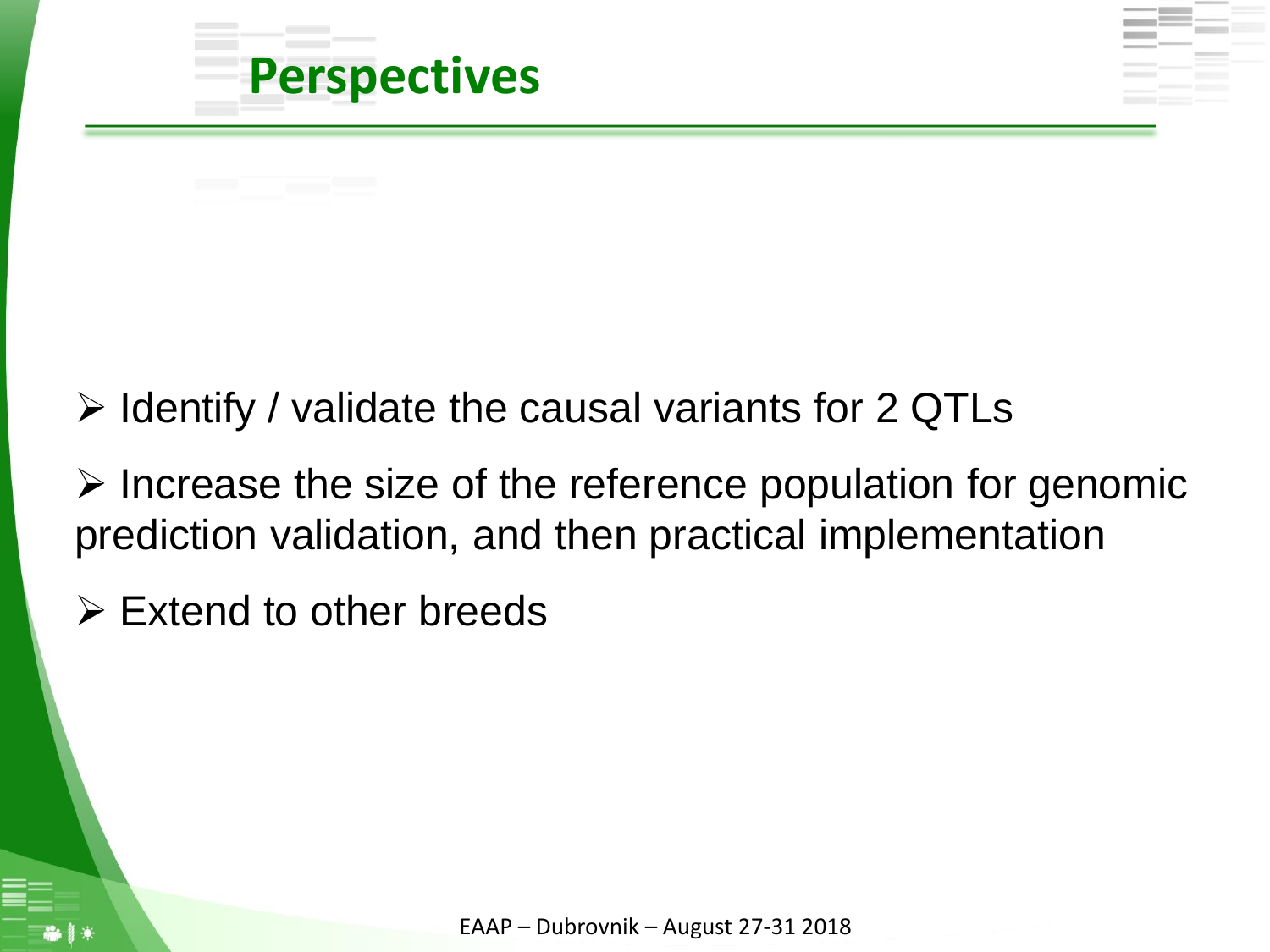

### ➢ Identify / validate the causal variants for 2 QTLs

➢ Increase the size of the reference population for genomic prediction validation, and then practical implementation

 $\triangleright$  Extend to other breeds